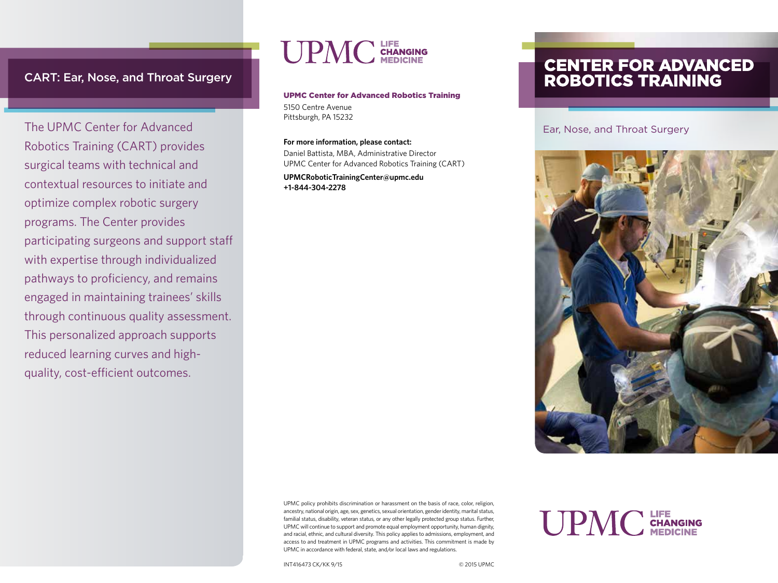# CART: Ear, Nose, and Throat Surgery

The UPMC Center for Advanced Robotics Training (CART) provides surgical teams with technical and contextual resources to initiate and optimize complex robotic surgery programs. The Center provides participating surgeons and support staff with expertise through individualized pathways to proficiency, and remains engaged in maintaining trainees' skills through continuous quality assessment. This personalized approach supports reduced learning curves and highquality, cost-efficient outcomes.

# LIFE<br>Changing<br>Medicine

# UPMC Center for Advanced Robotics Training

5150 Centre Avenue Pittsburgh, PA 15232

#### **For more information, please contact:**

Daniel Battista, MBA, Administrative Director UPMC Center for Advanced Robotics Training (CART)

**UPMCRoboticTrainingCenter@upmc.edu +1-844-304-2278**

# **CENTER FOR ADVANCED<br>ROBOTICS TRAINING**

#### Ear, Nose, and Throat Surgery



**UPMC** CHANGING

UPMC policy prohibits discrimination or harassment on the basis of race, color, religion, ancestry, national origin, age, sex, genetics, sexual orientation, gender identity, marital status, familial status, disability, veteran status, or any other legally protected group status. Further, UPMC will continue to support and promote equal employment opportunity, human dignity, and racial, ethnic, and cultural diversity. This policy applies to admissions, employment, and access to and treatment in UPMC programs and activities. This commitment is made by UPMC in accordance with federal, state, and/or local laws and regulations.